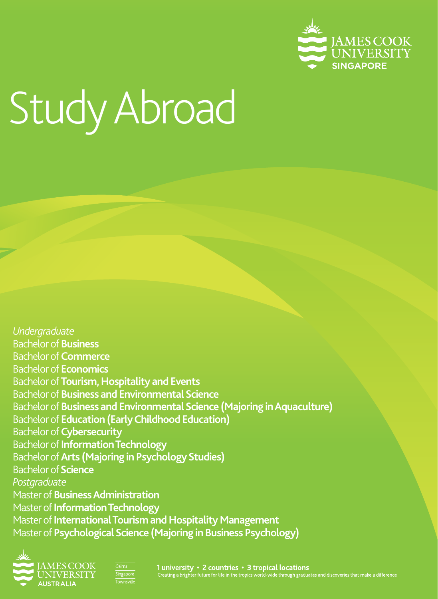

# Study Abroad

*Undergraduate* Bachelor of **Business** Bachelor of **Commerce**  Bachelor of **Economics**  Bachelor of **Tourism, Hospitality and Events** Bachelor of **Business and Environmental Science**  Bachelor of **Business and Environmental Science (Majoring in Aquaculture)** Bachelor of **Education (Early Childhood Education)**  Bachelor of **Cybersecurity** Bachelor of **Information Technology**  Bachelor of **Arts (Majoring in Psychology Studies)**  Bachelor of **Science**  *Postgraduate* Master of **Business Administration** Master of **Information Technology** Master of **International Tourism and Hospitality Management** Master of **Psychological Science (Majoring in Business Psychology)**





1 university • 2 countries • 3 tropical locations<br>Creating a brighter future for life in the tropics world-wide through graduates and discoveries that make a differenc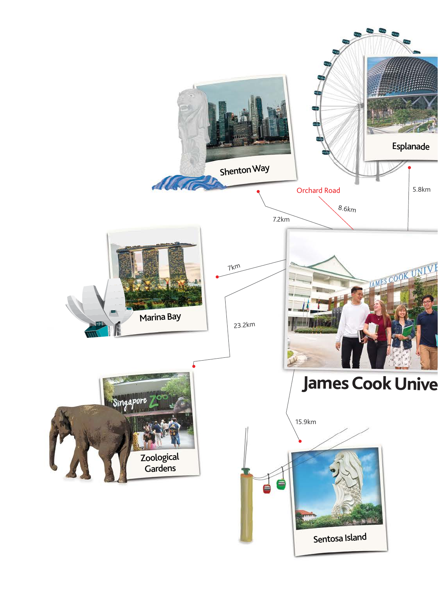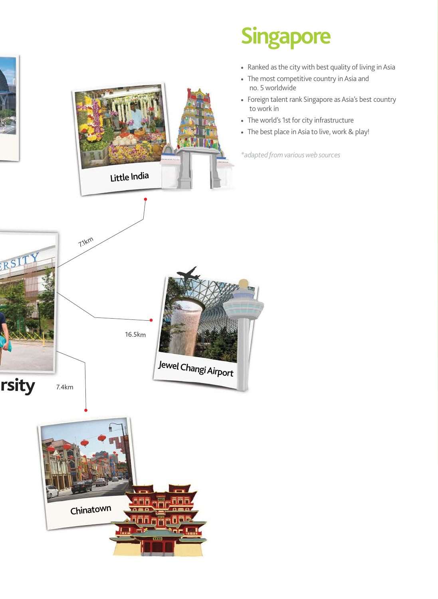



ono <sub>c</sub>ej  $\alpha = \alpha$ riñ a i

Chinatown

## **Singapore**

- Ranked as the city with best quality of living in Asia
- The most competitive country in Asia and no. 5 worldwide
- Foreign talent rank Singapore as Asia's best country to work in
- The world's 1st for city infrastructure
- The best place in Asia to live, work & play!

*\*adapted from various web sources*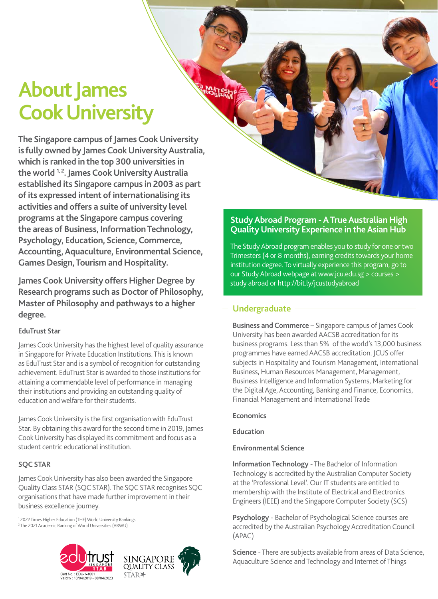## **About James Cook University**

**The Singapore campus of James Cook University is fully owned by James Cook University Australia, which is ranked in the top 300 universities in**  the world <sup>1,2</sup>. James Cook University Australia **established its Singapore campus in 2003 as part of its expressed intent of internationalising its activities and offers a suite of university level programs at the Singapore campus covering the areas of Business, Information Technology, Psychology, Education, Science, Commerce, Accounting, Aquaculture, Environmental Science, Games Design, Tourism and Hospitality.**

**James Cook University offers Higher Degree by Research programs such as Doctor of Philosophy, Master of Philosophy and pathways to a higher degree.**

#### **EduTrust Star**

James Cook University has the highest level of quality assurance in Singapore for Private Education Institutions. This is known as EduTrust Star and is a symbol of recognition for outstanding achievement. EduTrust Star is awarded to those institutions for attaining a commendable level of performance in managing their institutions and providing an outstanding quality of education and welfare for their students.

James Cook University is the first organisation with EduTrust Star. By obtaining this award for the second time in 2019, James Cook University has displayed its commitment and focus as a student centric educational institution.

#### **SQC STAR**

James Cook University has also been awarded the Singapore Quality Class STAR (SQC STAR). The SQC STAR recognises SQC organisations that have made further improvement in their business excellence journey.

1 2022 Times Higher Education (THE) World University Rankings 2 The 2021 Academic Ranking of World Universities (ARWU)





#### **Study Abroad Program - A True Australian High Quality University Experience in the Asian Hub**

The Study Abroad program enables you to study for one or two Trimesters (4 or 8 months), earning credits towards your home institution degree. To virtually experience this program, go to our Study Abroad webpage at www.jcu.edu.sg > courses > study abroad or http://bit.ly/jcustudyabroad

#### **Undergraduate**

**Business and Commerce –** Singapore campus of James Cook University has been awarded AACSB accreditation for its business programs. Less than 5% of the world's 13,000 business programmes have earned AACSB accreditation. JCUS offer subjects in Hospitality and Tourism Management, International Business, Human Resources Management, Management, Business Intelligence and Information Systems, Marketing for the Digital Age, Accounting, Banking and Finance, Economics, Financial Management and International Trade

#### **Economics**

**Education**

#### **Environmental Science**

**Information Technology** - The Bachelor of Information Technology is accredited by the Australian Computer Society at the 'Professional Level'. Our IT students are entitled to membership with the Institute of Electrical and Electronics Engineers (IEEE) and the Singapore Computer Society (SCS)

**Psychology** - Bachelor of Psychological Science courses are accredited by the Australian Psychology Accreditation Council (APAC)

**Science** - There are subjects available from areas of Data Science, Aquaculture Science and Technology and Internet of Things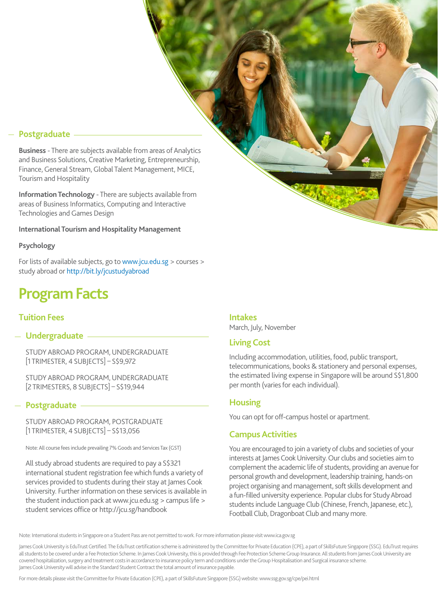#### **Postgraduate**

**Business** - There are subjects available from areas of Analytics and Business Solutions, Creative Marketing, Entrepreneurship, Finance, General Stream, Global Talent Management, MICE, Tourism and Hospitality

**Information Technology** - There are subjects available from areas of Business Informatics, Computing and Interactive Technologies and Games Design

#### **International Tourism and Hospitality Management**

#### **Psychology**

For lists of available subjects, go to www.jcu.edu.sg > courses > study abroad or http://bit.ly/jcustudyabroad

### **Program Facts**

#### **Tuition Fees**

#### **Undergraduate**

STUDY ABROAD PROGRAM, UNDERGRADUATE [1 TRIMESTER, 4 SUBJECTS] – S\$9,972

STUDY ABROAD PROGRAM, UNDERGRADUATE [2 TRIMESTERS, 8 SUBJECTS] – S\$19,944

#### **Postgraduate**

STUDY ABROAD PROGRAM, POSTGRADUATE [1 TRIMESTER, 4 SUBJECTS] – S\$13,056

Note: All course fees include prevailing 7% Goods and Services Tax (GST)

All study abroad students are required to pay a S\$321 international student registration fee which funds a variety of services provided to students during their stay at James Cook University. Further information on these services is available in the student induction pack at www.jcu.edu.sg > campus life > student services office or http://jcu.sg/handbook

#### **Intakes**

March, July, November

#### **Living Cost**

Including accommodation, utilities, food, public transport, telecommunications, books & stationery and personal expenses, the estimated living expense in Singapore will be around S\$1,800 per month (varies for each individual).

#### **Housing**

You can opt for off-campus hostel or apartment.

#### **Campus Activities**

You are encouraged to join a variety of clubs and societies of your interests at James Cook University. Our clubs and societies aim to complement the academic life of students, providing an avenue for personal growth and development, leadership training, hands-on project organising and management, soft skills development and a fun-filled university experience. Popular clubs for Study Abroad students include Language Club (Chinese, French, Japanese, etc.), Football Club, Dragonboat Club and many more.

Note: International students in Singapore on a Student Pass are not permitted to work. For more information please visit www.ica.gov.sg

James Cook University is EduTrust Certified. The EduTrust certification scheme is administered by the Committee for Private Education (CPE), a part of SkillsFuture Singapore (SSG). EduTrust requires all students to be covered under a Fee Protection Scheme. In James Cook University, this is provided through Fee Protection Scheme Group Insurance. All students from James Cook University are covered hospitalization, surgery and treatment costs in accordance to insurance policy term and conditions under the Group Hospitalisation and Surgical insurance scheme. James Cook University will advise in the Standard Student Contract the total amount of insurance payable.

For more details please visit the Committee for Private Education (CPE), a part of SkillsFuture Singapore (SSG) website: www.ssg.gov.sg/cpe/pei.html